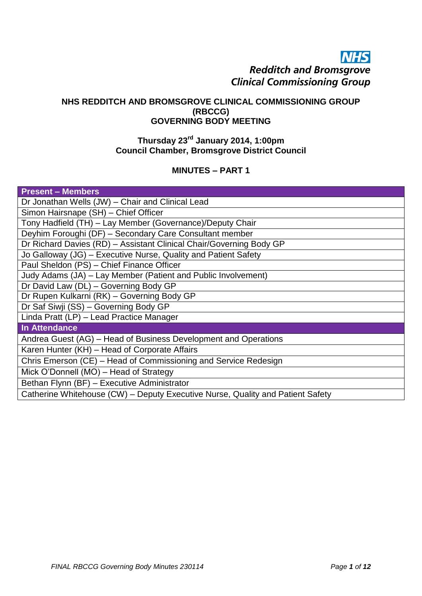# **NHS Redditch and Bromsgrove Clinical Commissioning Group**

#### **NHS REDDITCH AND BROMSGROVE CLINICAL COMMISSIONING GROUP (RBCCG) GOVERNING BODY MEETING**

## **Thursday 23rd January 2014, 1:00pm Council Chamber, Bromsgrove District Council**

# **MINUTES – PART 1**

| <b>Present - Members</b>                                                       |  |
|--------------------------------------------------------------------------------|--|
| Dr Jonathan Wells (JW) - Chair and Clinical Lead                               |  |
| Simon Hairsnape (SH) - Chief Officer                                           |  |
| Tony Hadfield (TH) - Lay Member (Governance)/Deputy Chair                      |  |
| Deyhim Foroughi (DF) - Secondary Care Consultant member                        |  |
| Dr Richard Davies (RD) - Assistant Clinical Chair/Governing Body GP            |  |
| Jo Galloway (JG) – Executive Nurse, Quality and Patient Safety                 |  |
| Paul Sheldon (PS) - Chief Finance Officer                                      |  |
| Judy Adams (JA) – Lay Member (Patient and Public Involvement)                  |  |
| Dr David Law (DL) - Governing Body GP                                          |  |
| Dr Rupen Kulkarni (RK) - Governing Body GP                                     |  |
| Dr Saf Siwji (SS) - Governing Body GP                                          |  |
| Linda Pratt (LP) - Lead Practice Manager                                       |  |
| <b>In Attendance</b>                                                           |  |
| Andrea Guest (AG) – Head of Business Development and Operations                |  |
| Karen Hunter (KH) - Head of Corporate Affairs                                  |  |
| Chris Emerson (CE) - Head of Commissioning and Service Redesign                |  |
| Mick O'Donnell (MO) - Head of Strategy                                         |  |
| Bethan Flynn (BF) - Executive Administrator                                    |  |
| Catherine Whitehouse (CW) – Deputy Executive Nurse, Quality and Patient Safety |  |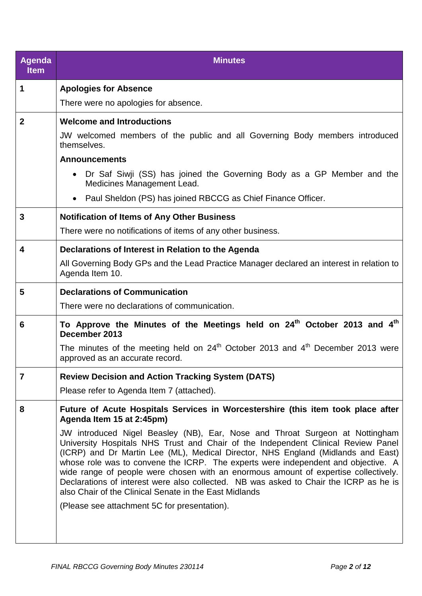| <b>Agenda</b><br><b>Item</b> | <b>Minutes</b>                                                                                                                                                                                                                                                                                                                                                                                                                                                                                                                                                                       |
|------------------------------|--------------------------------------------------------------------------------------------------------------------------------------------------------------------------------------------------------------------------------------------------------------------------------------------------------------------------------------------------------------------------------------------------------------------------------------------------------------------------------------------------------------------------------------------------------------------------------------|
| 1                            | <b>Apologies for Absence</b>                                                                                                                                                                                                                                                                                                                                                                                                                                                                                                                                                         |
|                              | There were no apologies for absence.                                                                                                                                                                                                                                                                                                                                                                                                                                                                                                                                                 |
| $\mathbf{2}$                 | <b>Welcome and Introductions</b>                                                                                                                                                                                                                                                                                                                                                                                                                                                                                                                                                     |
|                              | JW welcomed members of the public and all Governing Body members introduced<br>themselves.                                                                                                                                                                                                                                                                                                                                                                                                                                                                                           |
|                              | <b>Announcements</b>                                                                                                                                                                                                                                                                                                                                                                                                                                                                                                                                                                 |
|                              | Dr Saf Siwji (SS) has joined the Governing Body as a GP Member and the<br>Medicines Management Lead.                                                                                                                                                                                                                                                                                                                                                                                                                                                                                 |
|                              | • Paul Sheldon (PS) has joined RBCCG as Chief Finance Officer.                                                                                                                                                                                                                                                                                                                                                                                                                                                                                                                       |
| 3                            | <b>Notification of Items of Any Other Business</b>                                                                                                                                                                                                                                                                                                                                                                                                                                                                                                                                   |
|                              | There were no notifications of items of any other business.                                                                                                                                                                                                                                                                                                                                                                                                                                                                                                                          |
| $\overline{\mathbf{4}}$      | Declarations of Interest in Relation to the Agenda                                                                                                                                                                                                                                                                                                                                                                                                                                                                                                                                   |
|                              | All Governing Body GPs and the Lead Practice Manager declared an interest in relation to<br>Agenda Item 10.                                                                                                                                                                                                                                                                                                                                                                                                                                                                          |
| 5                            | <b>Declarations of Communication</b>                                                                                                                                                                                                                                                                                                                                                                                                                                                                                                                                                 |
|                              | There were no declarations of communication.                                                                                                                                                                                                                                                                                                                                                                                                                                                                                                                                         |
| 6                            | To Approve the Minutes of the Meetings held on 24 <sup>th</sup> October 2013 and 4 <sup>th</sup><br>December 2013                                                                                                                                                                                                                                                                                                                                                                                                                                                                    |
|                              | The minutes of the meeting held on $24th$ October 2013 and $4th$ December 2013 were<br>approved as an accurate record.                                                                                                                                                                                                                                                                                                                                                                                                                                                               |
| $\overline{7}$               | <b>Review Decision and Action Tracking System (DATS)</b>                                                                                                                                                                                                                                                                                                                                                                                                                                                                                                                             |
|                              | Please refer to Agenda Item 7 (attached).                                                                                                                                                                                                                                                                                                                                                                                                                                                                                                                                            |
| 8                            | Future of Acute Hospitals Services in Worcestershire (this item took place after<br>Agenda Item 15 at 2:45pm)                                                                                                                                                                                                                                                                                                                                                                                                                                                                        |
|                              | JW introduced Nigel Beasley (NB), Ear, Nose and Throat Surgeon at Nottingham<br>University Hospitals NHS Trust and Chair of the Independent Clinical Review Panel<br>(ICRP) and Dr Martin Lee (ML), Medical Director, NHS England (Midlands and East)<br>whose role was to convene the ICRP. The experts were independent and objective. A<br>wide range of people were chosen with an enormous amount of expertise collectively.<br>Declarations of interest were also collected. NB was asked to Chair the ICRP as he is<br>also Chair of the Clinical Senate in the East Midlands |
|                              | (Please see attachment 5C for presentation).                                                                                                                                                                                                                                                                                                                                                                                                                                                                                                                                         |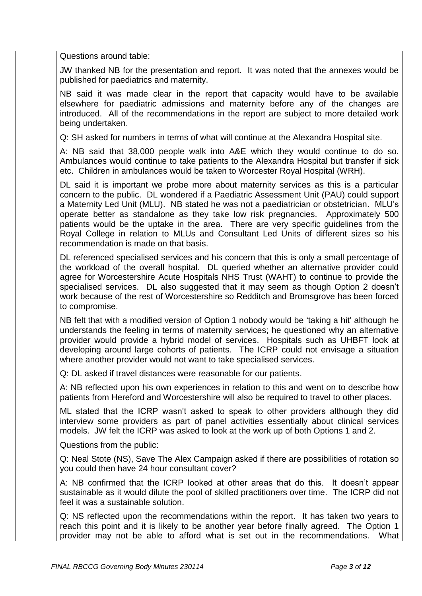Questions around table:

JW thanked NB for the presentation and report. It was noted that the annexes would be published for paediatrics and maternity.

NB said it was made clear in the report that capacity would have to be available elsewhere for paediatric admissions and maternity before any of the changes are introduced. All of the recommendations in the report are subject to more detailed work being undertaken.

Q: SH asked for numbers in terms of what will continue at the Alexandra Hospital site.

A: NB said that 38,000 people walk into A&E which they would continue to do so. Ambulances would continue to take patients to the Alexandra Hospital but transfer if sick etc. Children in ambulances would be taken to Worcester Royal Hospital (WRH).

DL said it is important we probe more about maternity services as this is a particular concern to the public. DL wondered if a Paediatric Assessment Unit (PAU) could support a Maternity Led Unit (MLU). NB stated he was not a paediatrician or obstetrician. MLU's operate better as standalone as they take low risk pregnancies. Approximately 500 patients would be the uptake in the area. There are very specific guidelines from the Royal College in relation to MLUs and Consultant Led Units of different sizes so his recommendation is made on that basis.

DL referenced specialised services and his concern that this is only a small percentage of the workload of the overall hospital. DL queried whether an alternative provider could agree for Worcestershire Acute Hospitals NHS Trust (WAHT) to continue to provide the specialised services. DL also suggested that it may seem as though Option 2 doesn't work because of the rest of Worcestershire so Redditch and Bromsgrove has been forced to compromise.

NB felt that with a modified version of Option 1 nobody would be 'taking a hit' although he understands the feeling in terms of maternity services; he questioned why an alternative provider would provide a hybrid model of services. Hospitals such as UHBFT look at developing around large cohorts of patients. The ICRP could not envisage a situation where another provider would not want to take specialised services.

Q: DL asked if travel distances were reasonable for our patients.

A: NB reflected upon his own experiences in relation to this and went on to describe how patients from Hereford and Worcestershire will also be required to travel to other places.

ML stated that the ICRP wasn't asked to speak to other providers although they did interview some providers as part of panel activities essentially about clinical services models. JW felt the ICRP was asked to look at the work up of both Options 1 and 2.

Questions from the public:

Q: Neal Stote (NS), Save The Alex Campaign asked if there are possibilities of rotation so you could then have 24 hour consultant cover?

A: NB confirmed that the ICRP looked at other areas that do this. It doesn't appear sustainable as it would dilute the pool of skilled practitioners over time. The ICRP did not feel it was a sustainable solution.

Q: NS reflected upon the recommendations within the report. It has taken two years to reach this point and it is likely to be another year before finally agreed. The Option 1 provider may not be able to afford what is set out in the recommendations. What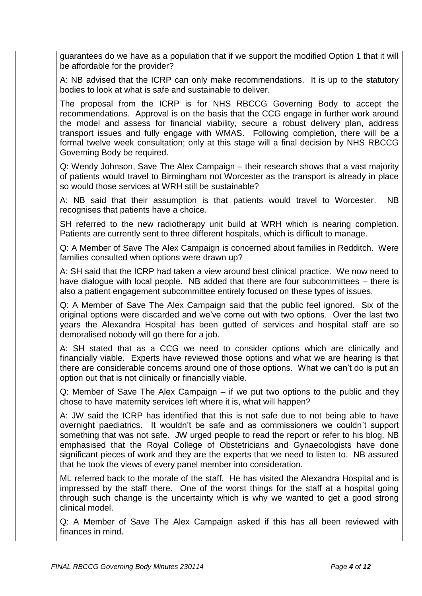guarantees do we have as a population that if we support the modified Option 1 that it will be affordable for the provider?

A: NB advised that the ICRP can only make recommendations. It is up to the statutory bodies to look at what is safe and sustainable to deliver.

The proposal from the ICRP is for NHS RBCCG Governing Body to accept the recommendations. Approval is on the basis that the CCG engage in further work around the model and assess for financial viability, secure a robust delivery plan, address transport issues and fully engage with WMAS. Following completion, there will be a formal twelve week consultation; only at this stage will a final decision by NHS RBCCG Governing Body be required.

Q: Wendy Johnson, Save The Alex Campaign – their research shows that a vast majority of patients would travel to Birmingham not Worcester as the transport is already in place so would those services at WRH still be sustainable?

A: NB said that their assumption is that patients would travel to Worcester. NB recognises that patients have a choice.

SH referred to the new radiotherapy unit build at WRH which is nearing completion. Patients are currently sent to three different hospitals, which is difficult to manage.

Q: A Member of Save The Alex Campaign is concerned about families in Redditch. Were families consulted when options were drawn up?

A: SH said that the ICRP had taken a view around best clinical practice. We now need to have dialogue with local people. NB added that there are four subcommittees – there is also a patient engagement subcommittee entirely focused on these types of issues.

Q: A Member of Save The Alex Campaign said that the public feel ignored. Six of the original options were discarded and we've come out with two options. Over the last two years the Alexandra Hospital has been gutted of services and hospital staff are so demoralised nobody will go there for a job.

A: SH stated that as a CCG we need to consider options which are clinically and financially viable. Experts have reviewed those options and what we are hearing is that there are considerable concerns around one of those options. What we can't do is put an option out that is not clinically or financially viable.

Q: Member of Save The Alex Campaign – if we put two options to the public and they chose to have maternity services left where it is, what will happen?

A: JW said the ICRP has identified that this is not safe due to not being able to have overnight paediatrics. It wouldn't be safe and as commissioners we couldn't support something that was not safe. JW urged people to read the report or refer to his blog. NB emphasised that the Royal College of Obstetricians and Gynaecologists have done significant pieces of work and they are the experts that we need to listen to. NB assured that he took the views of every panel member into consideration.

ML referred back to the morale of the staff. He has visited the Alexandra Hospital and is impressed by the staff there. One of the worst things for the staff at a hospital going through such change is the uncertainty which is why we wanted to get a good strong clinical model.

Q: A Member of Save The Alex Campaign asked if this has all been reviewed with finances in mind.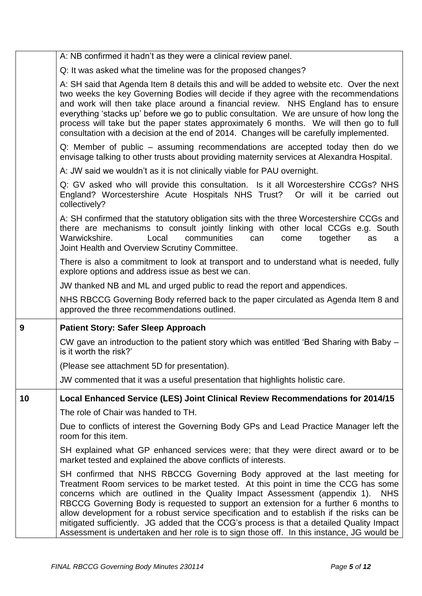|    | A: NB confirmed it hadn't as they were a clinical review panel.                                                                                                                                                                                                                                                                                                                                                                                                                                                                                                                                                                              |
|----|----------------------------------------------------------------------------------------------------------------------------------------------------------------------------------------------------------------------------------------------------------------------------------------------------------------------------------------------------------------------------------------------------------------------------------------------------------------------------------------------------------------------------------------------------------------------------------------------------------------------------------------------|
|    | Q: It was asked what the timeline was for the proposed changes?                                                                                                                                                                                                                                                                                                                                                                                                                                                                                                                                                                              |
|    | A: SH said that Agenda Item 8 details this and will be added to website etc. Over the next<br>two weeks the key Governing Bodies will decide if they agree with the recommendations<br>and work will then take place around a financial review. NHS England has to ensure<br>everything 'stacks up' before we go to public consultation. We are unsure of how long the<br>process will take but the paper states approximately 6 months. We will then go to full<br>consultation with a decision at the end of 2014. Changes will be carefully implemented.                                                                                  |
|    | Q: Member of public – assuming recommendations are accepted today then do we<br>envisage talking to other trusts about providing maternity services at Alexandra Hospital.                                                                                                                                                                                                                                                                                                                                                                                                                                                                   |
|    | A: JW said we wouldn't as it is not clinically viable for PAU overnight.                                                                                                                                                                                                                                                                                                                                                                                                                                                                                                                                                                     |
|    | Q: GV asked who will provide this consultation. Is it all Worcestershire CCGs? NHS<br>England? Worcestershire Acute Hospitals NHS Trust? Or will it be carried out<br>collectively?                                                                                                                                                                                                                                                                                                                                                                                                                                                          |
|    | A: SH confirmed that the statutory obligation sits with the three Worcestershire CCGs and<br>there are mechanisms to consult jointly linking with other local CCGs e.g. South<br>communities<br>Warwickshire.<br>Local<br>can<br>come<br>together<br>as<br>а<br>Joint Health and Overview Scrutiny Committee.                                                                                                                                                                                                                                                                                                                                |
|    | There is also a commitment to look at transport and to understand what is needed, fully<br>explore options and address issue as best we can.                                                                                                                                                                                                                                                                                                                                                                                                                                                                                                 |
|    | JW thanked NB and ML and urged public to read the report and appendices.                                                                                                                                                                                                                                                                                                                                                                                                                                                                                                                                                                     |
|    | NHS RBCCG Governing Body referred back to the paper circulated as Agenda Item 8 and<br>approved the three recommendations outlined.                                                                                                                                                                                                                                                                                                                                                                                                                                                                                                          |
| 9  | <b>Patient Story: Safer Sleep Approach</b>                                                                                                                                                                                                                                                                                                                                                                                                                                                                                                                                                                                                   |
|    | CW gave an introduction to the patient story which was entitled 'Bed Sharing with Baby -<br>is it worth the risk?'                                                                                                                                                                                                                                                                                                                                                                                                                                                                                                                           |
|    | (Please see attachment 5D for presentation).                                                                                                                                                                                                                                                                                                                                                                                                                                                                                                                                                                                                 |
|    | JW commented that it was a useful presentation that highlights holistic care.                                                                                                                                                                                                                                                                                                                                                                                                                                                                                                                                                                |
| 10 | Local Enhanced Service (LES) Joint Clinical Review Recommendations for 2014/15                                                                                                                                                                                                                                                                                                                                                                                                                                                                                                                                                               |
|    | The role of Chair was handed to TH.                                                                                                                                                                                                                                                                                                                                                                                                                                                                                                                                                                                                          |
|    | Due to conflicts of interest the Governing Body GPs and Lead Practice Manager left the<br>room for this item.                                                                                                                                                                                                                                                                                                                                                                                                                                                                                                                                |
|    | SH explained what GP enhanced services were; that they were direct award or to be<br>market tested and explained the above conflicts of interests.                                                                                                                                                                                                                                                                                                                                                                                                                                                                                           |
|    | SH confirmed that NHS RBCCG Governing Body approved at the last meeting for<br>Treatment Room services to be market tested. At this point in time the CCG has some<br>concerns which are outlined in the Quality Impact Assessment (appendix 1).<br><b>NHS</b><br>RBCCG Governing Body is requested to support an extension for a further 6 months to<br>allow development for a robust service specification and to establish if the risks can be<br>mitigated sufficiently. JG added that the CCG's process is that a detailed Quality Impact<br>Assessment is undertaken and her role is to sign those off. In this instance, JG would be |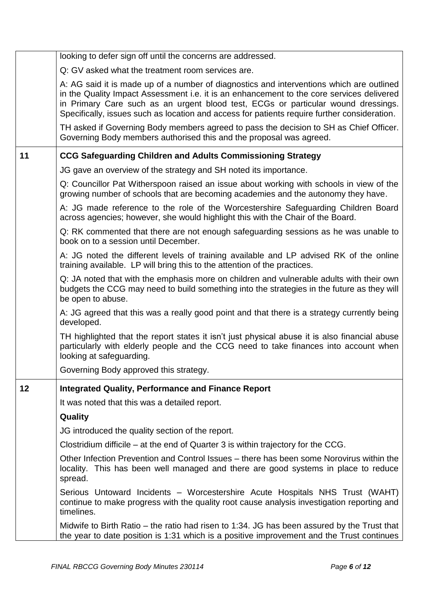|    | looking to defer sign off until the concerns are addressed.                                                                                                                                                                                                                                                                                                                |
|----|----------------------------------------------------------------------------------------------------------------------------------------------------------------------------------------------------------------------------------------------------------------------------------------------------------------------------------------------------------------------------|
|    | Q: GV asked what the treatment room services are.                                                                                                                                                                                                                                                                                                                          |
|    | A: AG said it is made up of a number of diagnostics and interventions which are outlined<br>in the Quality Impact Assessment i.e. it is an enhancement to the core services delivered<br>in Primary Care such as an urgent blood test, ECGs or particular wound dressings.<br>Specifically, issues such as location and access for patients require further consideration. |
|    | TH asked if Governing Body members agreed to pass the decision to SH as Chief Officer.<br>Governing Body members authorised this and the proposal was agreed.                                                                                                                                                                                                              |
| 11 | <b>CCG Safeguarding Children and Adults Commissioning Strategy</b>                                                                                                                                                                                                                                                                                                         |
|    | JG gave an overview of the strategy and SH noted its importance.                                                                                                                                                                                                                                                                                                           |
|    | Q: Councillor Pat Witherspoon raised an issue about working with schools in view of the<br>growing number of schools that are becoming academies and the autonomy they have.                                                                                                                                                                                               |
|    | A: JG made reference to the role of the Worcestershire Safeguarding Children Board<br>across agencies; however, she would highlight this with the Chair of the Board.                                                                                                                                                                                                      |
|    | Q: RK commented that there are not enough safeguarding sessions as he was unable to<br>book on to a session until December.                                                                                                                                                                                                                                                |
|    | A: JG noted the different levels of training available and LP advised RK of the online<br>training available. LP will bring this to the attention of the practices.                                                                                                                                                                                                        |
|    | Q: JA noted that with the emphasis more on children and vulnerable adults with their own<br>budgets the CCG may need to build something into the strategies in the future as they will<br>be open to abuse.                                                                                                                                                                |
|    | A: JG agreed that this was a really good point and that there is a strategy currently being<br>developed.                                                                                                                                                                                                                                                                  |
|    | TH highlighted that the report states it isn't just physical abuse it is also financial abuse<br>particularly with elderly people and the CCG need to take finances into account when<br>looking at safeguarding.                                                                                                                                                          |
|    | Governing Body approved this strategy.                                                                                                                                                                                                                                                                                                                                     |
| 12 | <b>Integrated Quality, Performance and Finance Report</b>                                                                                                                                                                                                                                                                                                                  |
|    | It was noted that this was a detailed report.                                                                                                                                                                                                                                                                                                                              |
|    | Quality                                                                                                                                                                                                                                                                                                                                                                    |
|    | JG introduced the quality section of the report.                                                                                                                                                                                                                                                                                                                           |
|    | Clostridium difficile – at the end of Quarter 3 is within trajectory for the CCG.                                                                                                                                                                                                                                                                                          |
|    | Other Infection Prevention and Control Issues – there has been some Norovirus within the<br>locality. This has been well managed and there are good systems in place to reduce<br>spread.                                                                                                                                                                                  |
|    | Serious Untoward Incidents – Worcestershire Acute Hospitals NHS Trust (WAHT)<br>continue to make progress with the quality root cause analysis investigation reporting and<br>timelines.                                                                                                                                                                                   |
|    | Midwife to Birth Ratio – the ratio had risen to 1:34. JG has been assured by the Trust that<br>the year to date position is 1:31 which is a positive improvement and the Trust continues                                                                                                                                                                                   |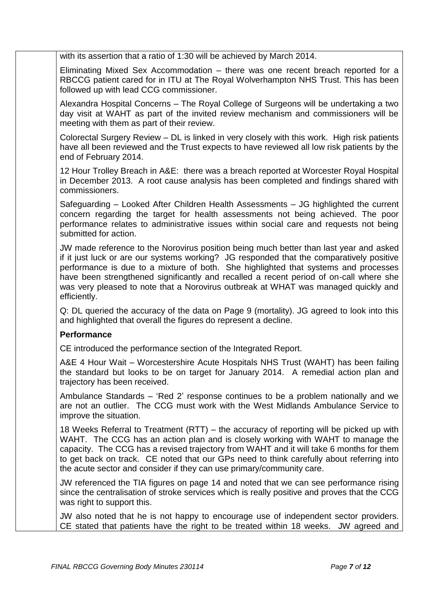with its assertion that a ratio of 1:30 will be achieved by March 2014.

Eliminating Mixed Sex Accommodation – there was one recent breach reported for a RBCCG patient cared for in ITU at The Royal Wolverhampton NHS Trust. This has been followed up with lead CCG commissioner.

Alexandra Hospital Concerns – The Royal College of Surgeons will be undertaking a two day visit at WAHT as part of the invited review mechanism and commissioners will be meeting with them as part of their review.

Colorectal Surgery Review – DL is linked in very closely with this work. High risk patients have all been reviewed and the Trust expects to have reviewed all low risk patients by the end of February 2014.

12 Hour Trolley Breach in A&E: there was a breach reported at Worcester Royal Hospital in December 2013. A root cause analysis has been completed and findings shared with commissioners.

Safeguarding – Looked After Children Health Assessments – JG highlighted the current concern regarding the target for health assessments not being achieved. The poor performance relates to administrative issues within social care and requests not being submitted for action.

JW made reference to the Norovirus position being much better than last year and asked if it just luck or are our systems working? JG responded that the comparatively positive performance is due to a mixture of both. She highlighted that systems and processes have been strengthened significantly and recalled a recent period of on-call where she was very pleased to note that a Norovirus outbreak at WHAT was managed quickly and efficiently.

Q: DL queried the accuracy of the data on Page 9 (mortality). JG agreed to look into this and highlighted that overall the figures do represent a decline.

### **Performance**

CE introduced the performance section of the Integrated Report.

A&E 4 Hour Wait – Worcestershire Acute Hospitals NHS Trust (WAHT) has been failing the standard but looks to be on target for January 2014. A remedial action plan and trajectory has been received.

Ambulance Standards – 'Red 2' response continues to be a problem nationally and we are not an outlier. The CCG must work with the West Midlands Ambulance Service to improve the situation.

18 Weeks Referral to Treatment (RTT) – the accuracy of reporting will be picked up with WAHT. The CCG has an action plan and is closely working with WAHT to manage the capacity. The CCG has a revised trajectory from WAHT and it will take 6 months for them to get back on track. CE noted that our GPs need to think carefully about referring into the acute sector and consider if they can use primary/community care.

JW referenced the TIA figures on page 14 and noted that we can see performance rising since the centralisation of stroke services which is really positive and proves that the CCG was right to support this.

JW also noted that he is not happy to encourage use of independent sector providers. CE stated that patients have the right to be treated within 18 weeks. JW agreed and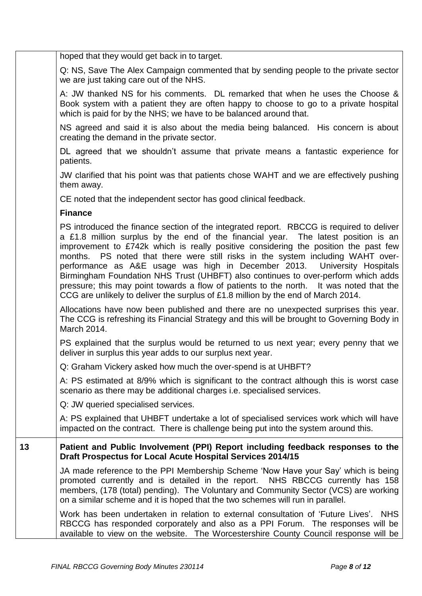|    | hoped that they would get back in to target.                                                                                                                                                                                                                                                                                                                                                                                                                                                                                                                                                                                                                                                                 |
|----|--------------------------------------------------------------------------------------------------------------------------------------------------------------------------------------------------------------------------------------------------------------------------------------------------------------------------------------------------------------------------------------------------------------------------------------------------------------------------------------------------------------------------------------------------------------------------------------------------------------------------------------------------------------------------------------------------------------|
|    | Q: NS, Save The Alex Campaign commented that by sending people to the private sector<br>we are just taking care out of the NHS.                                                                                                                                                                                                                                                                                                                                                                                                                                                                                                                                                                              |
|    | A: JW thanked NS for his comments. DL remarked that when he uses the Choose &<br>Book system with a patient they are often happy to choose to go to a private hospital<br>which is paid for by the NHS; we have to be balanced around that.                                                                                                                                                                                                                                                                                                                                                                                                                                                                  |
|    | NS agreed and said it is also about the media being balanced. His concern is about<br>creating the demand in the private sector.                                                                                                                                                                                                                                                                                                                                                                                                                                                                                                                                                                             |
|    | DL agreed that we shouldn't assume that private means a fantastic experience for<br>patients.                                                                                                                                                                                                                                                                                                                                                                                                                                                                                                                                                                                                                |
|    | JW clarified that his point was that patients chose WAHT and we are effectively pushing<br>them away.                                                                                                                                                                                                                                                                                                                                                                                                                                                                                                                                                                                                        |
|    | CE noted that the independent sector has good clinical feedback.                                                                                                                                                                                                                                                                                                                                                                                                                                                                                                                                                                                                                                             |
|    | <b>Finance</b>                                                                                                                                                                                                                                                                                                                                                                                                                                                                                                                                                                                                                                                                                               |
|    | PS introduced the finance section of the integrated report. RBCCG is required to deliver<br>a £1.8 million surplus by the end of the financial year. The latest position is an<br>improvement to £742k which is really positive considering the position the past few<br>PS noted that there were still risks in the system including WAHT over-<br>months.<br>performance as A&E usage was high in December 2013. University Hospitals<br>Birmingham Foundation NHS Trust (UHBFT) also continues to over-perform which adds<br>pressure; this may point towards a flow of patients to the north. It was noted that the<br>CCG are unlikely to deliver the surplus of £1.8 million by the end of March 2014. |
|    | Allocations have now been published and there are no unexpected surprises this year.<br>The CCG is refreshing its Financial Strategy and this will be brought to Governing Body in<br>March 2014.                                                                                                                                                                                                                                                                                                                                                                                                                                                                                                            |
|    | PS explained that the surplus would be returned to us next year; every penny that we<br>deliver in surplus this year adds to our surplus next year.                                                                                                                                                                                                                                                                                                                                                                                                                                                                                                                                                          |
|    | Q: Graham Vickery asked how much the over-spend is at UHBFT?                                                                                                                                                                                                                                                                                                                                                                                                                                                                                                                                                                                                                                                 |
|    | A: PS estimated at 8/9% which is significant to the contract although this is worst case<br>scenario as there may be additional charges <i>i.e.</i> specialised services.                                                                                                                                                                                                                                                                                                                                                                                                                                                                                                                                    |
|    | Q: JW queried specialised services.                                                                                                                                                                                                                                                                                                                                                                                                                                                                                                                                                                                                                                                                          |
|    | A: PS explained that UHBFT undertake a lot of specialised services work which will have<br>impacted on the contract. There is challenge being put into the system around this.                                                                                                                                                                                                                                                                                                                                                                                                                                                                                                                               |
| 13 | Patient and Public Involvement (PPI) Report including feedback responses to the<br><b>Draft Prospectus for Local Acute Hospital Services 2014/15</b>                                                                                                                                                                                                                                                                                                                                                                                                                                                                                                                                                         |
|    | JA made reference to the PPI Membership Scheme 'Now Have your Say' which is being<br>promoted currently and is detailed in the report. NHS RBCCG currently has 158<br>members, (178 (total) pending). The Voluntary and Community Sector (VCS) are working<br>on a similar scheme and it is hoped that the two schemes will run in parallel.                                                                                                                                                                                                                                                                                                                                                                 |
|    | Work has been undertaken in relation to external consultation of 'Future Lives'. NHS<br>RBCCG has responded corporately and also as a PPI Forum. The responses will be<br>available to view on the website. The Worcestershire County Council response will be                                                                                                                                                                                                                                                                                                                                                                                                                                               |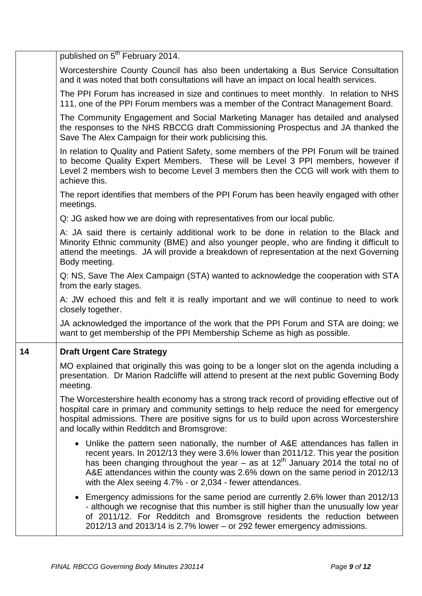|    | published on 5 <sup>th</sup> February 2014.                                                                                                                                                                                                                                                                                                                                                                |
|----|------------------------------------------------------------------------------------------------------------------------------------------------------------------------------------------------------------------------------------------------------------------------------------------------------------------------------------------------------------------------------------------------------------|
|    | Worcestershire County Council has also been undertaking a Bus Service Consultation<br>and it was noted that both consultations will have an impact on local health services.                                                                                                                                                                                                                               |
|    | The PPI Forum has increased in size and continues to meet monthly. In relation to NHS<br>111, one of the PPI Forum members was a member of the Contract Management Board.                                                                                                                                                                                                                                  |
|    | The Community Engagement and Social Marketing Manager has detailed and analysed<br>the responses to the NHS RBCCG draft Commissioning Prospectus and JA thanked the<br>Save The Alex Campaign for their work publicising this.                                                                                                                                                                             |
|    | In relation to Quality and Patient Safety, some members of the PPI Forum will be trained<br>to become Quality Expert Members. These will be Level 3 PPI members, however if<br>Level 2 members wish to become Level 3 members then the CCG will work with them to<br>achieve this.                                                                                                                         |
|    | The report identifies that members of the PPI Forum has been heavily engaged with other<br>meetings.                                                                                                                                                                                                                                                                                                       |
|    | Q: JG asked how we are doing with representatives from our local public.                                                                                                                                                                                                                                                                                                                                   |
|    | A: JA said there is certainly additional work to be done in relation to the Black and<br>Minority Ethnic community (BME) and also younger people, who are finding it difficult to<br>attend the meetings. JA will provide a breakdown of representation at the next Governing<br>Body meeting.                                                                                                             |
|    | Q: NS, Save The Alex Campaign (STA) wanted to acknowledge the cooperation with STA<br>from the early stages.                                                                                                                                                                                                                                                                                               |
|    | A: JW echoed this and felt it is really important and we will continue to need to work<br>closely together.                                                                                                                                                                                                                                                                                                |
|    | JA acknowledged the importance of the work that the PPI Forum and STA are doing; we<br>want to get membership of the PPI Membership Scheme as high as possible.                                                                                                                                                                                                                                            |
| 14 | <b>Draft Urgent Care Strategy</b>                                                                                                                                                                                                                                                                                                                                                                          |
|    | MO explained that originally this was going to be a longer slot on the agenda including a<br>presentation. Dr Marion Radcliffe will attend to present at the next public Governing Body<br>meeting.                                                                                                                                                                                                        |
|    | The Worcestershire health economy has a strong track record of providing effective out of<br>hospital care in primary and community settings to help reduce the need for emergency<br>hospital admissions. There are positive signs for us to build upon across Worcestershire<br>and locally within Redditch and Bromsgrove:                                                                              |
|    | • Unlike the pattern seen nationally, the number of A&E attendances has fallen in<br>recent years. In 2012/13 they were 3.6% lower than 2011/12. This year the position<br>has been changing throughout the year – as at $12th$ January 2014 the total no of<br>A&E attendances within the county was 2.6% down on the same period in 2012/13<br>with the Alex seeing 4.7% - or 2,034 - fewer attendances. |
|    | Emergency admissions for the same period are currently 2.6% lower than 2012/13<br>- although we recognise that this number is still higher than the unusually low year<br>of 2011/12. For Redditch and Bromsgrove residents the reduction between<br>2012/13 and 2013/14 is 2.7% lower - or 292 fewer emergency admissions.                                                                                |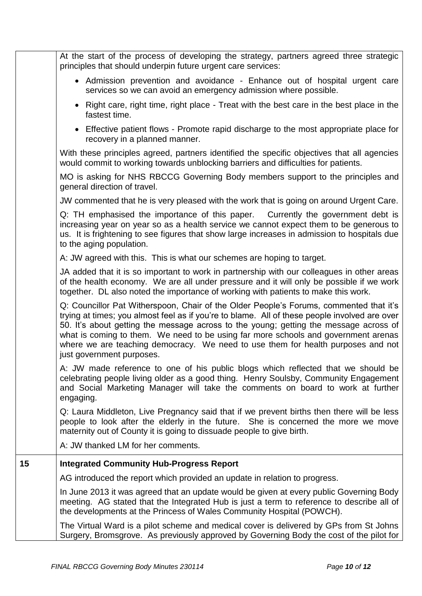|    | At the start of the process of developing the strategy, partners agreed three strategic<br>principles that should underpin future urgent care services:                                                                                                                                                                                                                                                                                                                                 |
|----|-----------------------------------------------------------------------------------------------------------------------------------------------------------------------------------------------------------------------------------------------------------------------------------------------------------------------------------------------------------------------------------------------------------------------------------------------------------------------------------------|
|    | • Admission prevention and avoidance - Enhance out of hospital urgent care<br>services so we can avoid an emergency admission where possible.                                                                                                                                                                                                                                                                                                                                           |
|    | • Right care, right time, right place - Treat with the best care in the best place in the<br>fastest time.                                                                                                                                                                                                                                                                                                                                                                              |
|    | • Effective patient flows - Promote rapid discharge to the most appropriate place for<br>recovery in a planned manner.                                                                                                                                                                                                                                                                                                                                                                  |
|    | With these principles agreed, partners identified the specific objectives that all agencies<br>would commit to working towards unblocking barriers and difficulties for patients.                                                                                                                                                                                                                                                                                                       |
|    | MO is asking for NHS RBCCG Governing Body members support to the principles and<br>general direction of travel.                                                                                                                                                                                                                                                                                                                                                                         |
|    | JW commented that he is very pleased with the work that is going on around Urgent Care.                                                                                                                                                                                                                                                                                                                                                                                                 |
|    | Q: TH emphasised the importance of this paper. Currently the government debt is<br>increasing year on year so as a health service we cannot expect them to be generous to<br>us. It is frightening to see figures that show large increases in admission to hospitals due<br>to the aging population.                                                                                                                                                                                   |
|    | A: JW agreed with this. This is what our schemes are hoping to target.                                                                                                                                                                                                                                                                                                                                                                                                                  |
|    | JA added that it is so important to work in partnership with our colleagues in other areas<br>of the health economy. We are all under pressure and it will only be possible if we work<br>together. DL also noted the importance of working with patients to make this work.                                                                                                                                                                                                            |
|    | Q: Councillor Pat Witherspoon, Chair of the Older People's Forums, commented that it's<br>trying at times; you almost feel as if you're to blame. All of these people involved are over<br>50. It's about getting the message across to the young; getting the message across of<br>what is coming to them. We need to be using far more schools and government arenas<br>where we are teaching democracy. We need to use them for health purposes and not<br>just government purposes. |
|    | A: JW made reference to one of his public blogs which reflected that we should be<br>celebrating people living older as a good thing. Henry Soulsby, Community Engagement<br>and Social Marketing Manager will take the comments on board to work at further<br>engaging.                                                                                                                                                                                                               |
|    | Q: Laura Middleton, Live Pregnancy said that if we prevent births then there will be less<br>people to look after the elderly in the future. She is concerned the more we move<br>maternity out of County it is going to dissuade people to give birth.                                                                                                                                                                                                                                 |
|    | A: JW thanked LM for her comments.                                                                                                                                                                                                                                                                                                                                                                                                                                                      |
| 15 | <b>Integrated Community Hub-Progress Report</b>                                                                                                                                                                                                                                                                                                                                                                                                                                         |
|    | AG introduced the report which provided an update in relation to progress.                                                                                                                                                                                                                                                                                                                                                                                                              |
|    | In June 2013 it was agreed that an update would be given at every public Governing Body<br>meeting. AG stated that the Integrated Hub is just a term to reference to describe all of<br>the developments at the Princess of Wales Community Hospital (POWCH).                                                                                                                                                                                                                           |
|    | The Virtual Ward is a pilot scheme and medical cover is delivered by GPs from St Johns<br>Surgery, Bromsgrove. As previously approved by Governing Body the cost of the pilot for                                                                                                                                                                                                                                                                                                       |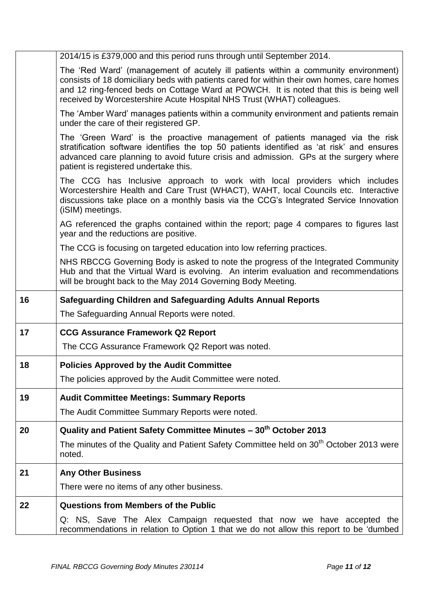|    | 2014/15 is £379,000 and this period runs through until September 2014.                                                                                                                                                                                                                                                                              |
|----|-----------------------------------------------------------------------------------------------------------------------------------------------------------------------------------------------------------------------------------------------------------------------------------------------------------------------------------------------------|
|    | The 'Red Ward' (management of acutely ill patients within a community environment)<br>consists of 18 domiciliary beds with patients cared for within their own homes, care homes<br>and 12 ring-fenced beds on Cottage Ward at POWCH. It is noted that this is being well<br>received by Worcestershire Acute Hospital NHS Trust (WHAT) colleagues. |
|    | The 'Amber Ward' manages patients within a community environment and patients remain<br>under the care of their registered GP.                                                                                                                                                                                                                      |
|    | The 'Green Ward' is the proactive management of patients managed via the risk<br>stratification software identifies the top 50 patients identified as 'at risk' and ensures<br>advanced care planning to avoid future crisis and admission. GPs at the surgery where<br>patient is registered undertake this.                                       |
|    | The CCG has Inclusive approach to work with local providers which includes<br>Worcestershire Health and Care Trust (WHACT), WAHT, local Councils etc. Interactive<br>discussions take place on a monthly basis via the CCG's Integrated Service Innovation<br>(iSIM) meetings.                                                                      |
|    | AG referenced the graphs contained within the report; page 4 compares to figures last<br>year and the reductions are positive.                                                                                                                                                                                                                      |
|    | The CCG is focusing on targeted education into low referring practices.                                                                                                                                                                                                                                                                             |
|    | NHS RBCCG Governing Body is asked to note the progress of the Integrated Community<br>Hub and that the Virtual Ward is evolving. An interim evaluation and recommendations<br>will be brought back to the May 2014 Governing Body Meeting.                                                                                                          |
|    |                                                                                                                                                                                                                                                                                                                                                     |
| 16 | <b>Safeguarding Children and Safeguarding Adults Annual Reports</b>                                                                                                                                                                                                                                                                                 |
|    | The Safeguarding Annual Reports were noted.                                                                                                                                                                                                                                                                                                         |
| 17 | <b>CCG Assurance Framework Q2 Report</b>                                                                                                                                                                                                                                                                                                            |
|    | The CCG Assurance Framework Q2 Report was noted.                                                                                                                                                                                                                                                                                                    |
| 18 | <b>Policies Approved by the Audit Committee</b>                                                                                                                                                                                                                                                                                                     |
|    | The policies approved by the Audit Committee were noted.                                                                                                                                                                                                                                                                                            |
| 19 | <b>Audit Committee Meetings: Summary Reports</b>                                                                                                                                                                                                                                                                                                    |
|    | The Audit Committee Summary Reports were noted.                                                                                                                                                                                                                                                                                                     |
| 20 | Quality and Patient Safety Committee Minutes - 30 <sup>th</sup> October 2013                                                                                                                                                                                                                                                                        |
|    | The minutes of the Quality and Patient Safety Committee held on 30 <sup>th</sup> October 2013 were<br>noted.                                                                                                                                                                                                                                        |
| 21 | <b>Any Other Business</b>                                                                                                                                                                                                                                                                                                                           |
|    | There were no items of any other business.                                                                                                                                                                                                                                                                                                          |
| 22 | <b>Questions from Members of the Public</b>                                                                                                                                                                                                                                                                                                         |